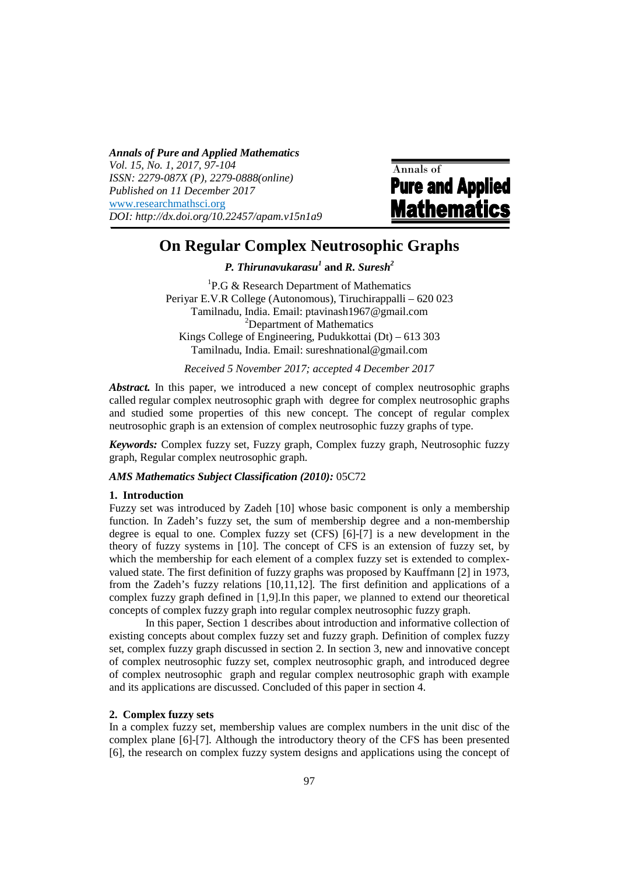*Annals of Pure and Applied Mathematics Vol. 15, No. 1, 2017, 97-104 ISSN: 2279-087X (P), 2279-0888(online) Published on 11 December 2017*  www.researchmathsci.org *DOI: http://dx.doi.org/10.22457/apam.v15n1a9* 

Annals of **Pure and Applied Mathematics** 

# **On Regular Complex Neutrosophic Graphs**

*P. Thirunavukarasu<sup>1</sup>* **and** *R. Suresh<sup>2</sup>*

<sup>1</sup>P.G & Research Department of Mathematics Periyar E.V.R College (Autonomous), Tiruchirappalli – 620 023 Tamilnadu, India. Email: ptavinash1967@gmail.com <sup>2</sup>Department of Mathematics Kings College of Engineering, Pudukkottai (Dt) – 613 303 Tamilnadu, India. Email: sureshnational@gmail.com

*Received 5 November 2017; accepted 4 December 2017* 

*Abstract.* In this paper, we introduced a new concept of complex neutrosophic graphs called regular complex neutrosophic graph with degree for complex neutrosophic graphs and studied some properties of this new concept. The concept of regular complex neutrosophic graph is an extension of complex neutrosophic fuzzy graphs of type.

*Keywords:* Complex fuzzy set, Fuzzy graph, Complex fuzzy graph, Neutrosophic fuzzy graph, Regular complex neutrosophic graph.

*AMS Mathematics Subject Classification (2010):* 05C72

#### **1. Introduction**

Fuzzy set was introduced by Zadeh [10] whose basic component is only a membership function. In Zadeh's fuzzy set, the sum of membership degree and a non-membership degree is equal to one. Complex fuzzy set (CFS) [6]-[7] is a new development in the theory of fuzzy systems in [10]. The concept of CFS is an extension of fuzzy set, by which the membership for each element of a complex fuzzy set is extended to complexvalued state. The first definition of fuzzy graphs was proposed by Kauffmann [2] in 1973, from the Zadeh's fuzzy relations [10,11,12]. The first definition and applications of a complex fuzzy graph defined in [1,9].In this paper, we planned to extend our theoretical concepts of complex fuzzy graph into regular complex neutrosophic fuzzy graph.

In this paper, Section 1 describes about introduction and informative collection of existing concepts about complex fuzzy set and fuzzy graph. Definition of complex fuzzy set, complex fuzzy graph discussed in section 2. In section 3, new and innovative concept of complex neutrosophic fuzzy set, complex neutrosophic graph, and introduced degree of complex neutrosophic graph and regular complex neutrosophic graph with example and its applications are discussed. Concluded of this paper in section 4.

## **2. Complex fuzzy sets**

In a complex fuzzy set, membership values are complex numbers in the unit disc of the complex plane [6]-[7]. Although the introductory theory of the CFS has been presented [6], the research on complex fuzzy system designs and applications using the concept of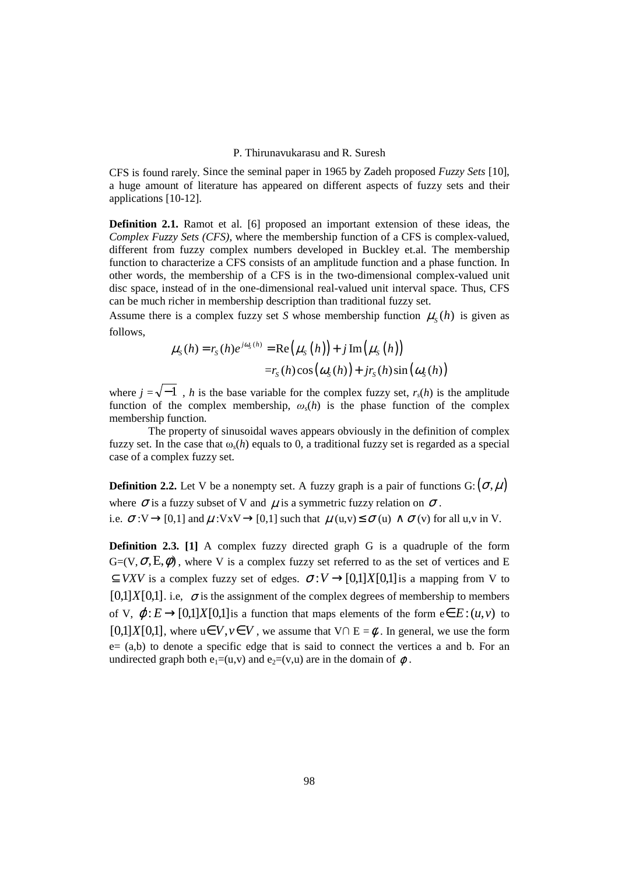CFS is found rarely. Since the seminal paper in 1965 by Zadeh proposed *Fuzzy Sets* [10], a huge amount of literature has appeared on different aspects of fuzzy sets and their applications [10-12].

**Definition 2.1.** Ramot et al. [6] proposed an important extension of these ideas, the *Complex Fuzzy Sets (CFS),* where the membership function of a CFS is complex-valued, different from fuzzy complex numbers developed in Buckley et.al. The membership function to characterize a CFS consists of an amplitude function and a phase function. In other words, the membership of a CFS is in the two-dimensional complex-valued unit disc space, instead of in the one-dimensional real-valued unit interval space. Thus, CFS can be much richer in membership description than traditional fuzzy set.

Assume there is a complex fuzzy set *S* whose membership function  $\mu_s(h)$  is given as follows,

$$
\mu_{S}(h) = r_{S}(h)e^{j\omega_{S}(h)} = \text{Re}(\mu_{S}(h)) + j \text{Im}(\mu_{S}(h))
$$

$$
= r_{S}(h)\cos(\omega_{S}(h)) + jr_{S}(h)\sin(\omega_{S}(h))
$$

where  $j = \sqrt{-1}$ , *h* is the base variable for the complex fuzzy set,  $r_s(h)$  is the amplitude function of the complex membership,  $\omega_s(h)$  is the phase function of the complex membership function.

 The property of sinusoidal waves appears obviously in the definition of complex fuzzy set. In the case that  $\omega_s(h)$  equals to 0, a traditional fuzzy set is regarded as a special case of a complex fuzzy set.

**Definition 2.2.** Let V be a nonempty set. A fuzzy graph is a pair of functions  $G: (\sigma, \mu)$ where  $\sigma$  is a fuzzy subset of V and  $\mu$  is a symmetric fuzzy relation on  $\sigma$ . i.e.  $\sigma: V \rightarrow [0,1]$  and  $\mu: V \times V \rightarrow [0,1]$  such that  $\mu(u,v) \leq \sigma(u) \wedge \sigma(v)$  for all u,v in V.

**Definition 2.3.** [1] A complex fuzzy directed graph G is a quadruple of the form  $G=(V,\sigma,E,\phi)$ , where V is a complex fuzzy set referred to as the set of vertices and E  $\subseteq$  *VXV* is a complex fuzzy set of edges.  $\sigma: V \rightarrow [0,1]X[0,1]$  is a mapping from V to  $[0,1]X[0,1]$ . i.e,  $\sigma$  is the assignment of the complex degrees of membership to members of V,  $\varphi: E \rightarrow [0,1]X[0,1]$  is a function that maps elements of the form  $e \in E: (u, v)$  to  $[0,1]X[0,1]$ , where  $u \in V$ ,  $v \in V$ , we assume that  $V \cap E = \emptyset$ . In general, we use the form e= (a,b) to denote a specific edge that is said to connect the vertices a and b. For an undirected graph both  $e_1=(u,v)$  and  $e_2=(v,u)$  are in the domain of  $\varphi$ .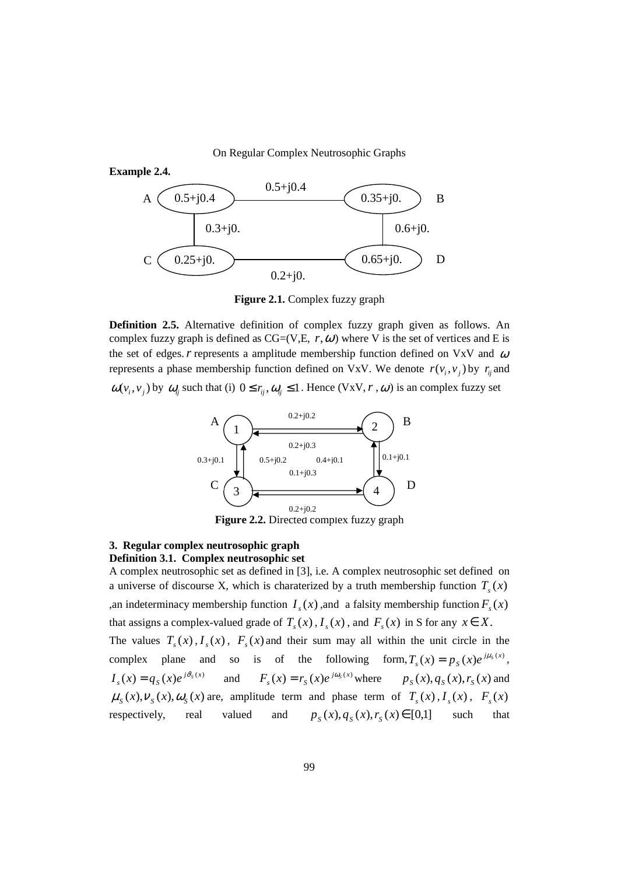On Regular Complex Neutrosophic Graphs



**Figure 2.1.** Complex fuzzy graph

**Definition 2.5.** Alternative definition of complex fuzzy graph given as follows. An complex fuzzy graph is defined as  $CG=(V,E, r, \omega)$  where V is the set of vertices and E is the set of edges.  $r$  represents a amplitude membership function defined on VxV and  $\omega$ represents a phase membership function defined on VxV. We denote  $r(v_i, v_j)$  by  $r_i$  and  $\omega(v_i, v_j)$  by  $\omega_i$  such that (i)  $0 \le r_i, \omega_i \le 1$ . Hence (VxV, r,  $\omega$ ) is an complex fuzzy set



**Figure 2.2.** Directed complex fuzzy graph

## **3. Regular complex neutrosophic graph**

**Definition 3.1. Complex neutrosophic set**  A complex neutrosophic set as defined in [3], i.e. A complex neutrosophic set defined on a universe of discourse X, which is charaterized by a truth membership function  $T_s(x)$ ,an indeterminacy membership function  $I_s(x)$ , and a falsity membership function  $F_s(x)$ that assigns a complex-valued grade of  $T_s(x)$ ,  $I_s(x)$ , and  $F_s(x)$  in S for any  $x \in X$ . The values  $T_s(x)$ ,  $I_s(x)$ ,  $F_s(x)$  and their sum may all within the unit circle in the complex plane and so is of the following form,  $T_s(x) = p_s(x)e^{j\mu_s(x)}$  $T_s(x) = p_s(x)e^{j\mu_s(x)},$  $(x) = q_s(x)e^{j\vartheta_s(x)}$  $I_s(x) = q_s(x)e^{j\vartheta_s(x)}$  and  $F_s(x) = r_s(x)e^{j\vartheta_s(x)}$  $F_s(x) = r_s(x)e^{j\omega_s(x)}$  where  $p_s(x), q_s(x), r_s(x)$  and  $\mu_s(x), \nu_s(x), \omega_s(x)$  are, amplitude term and phase term of  $T_s(x), I_s(x), F_s(x)$ respectively, real valued and  $p_s(x), q_s(x), r_s(x) \in [0,1]$  such that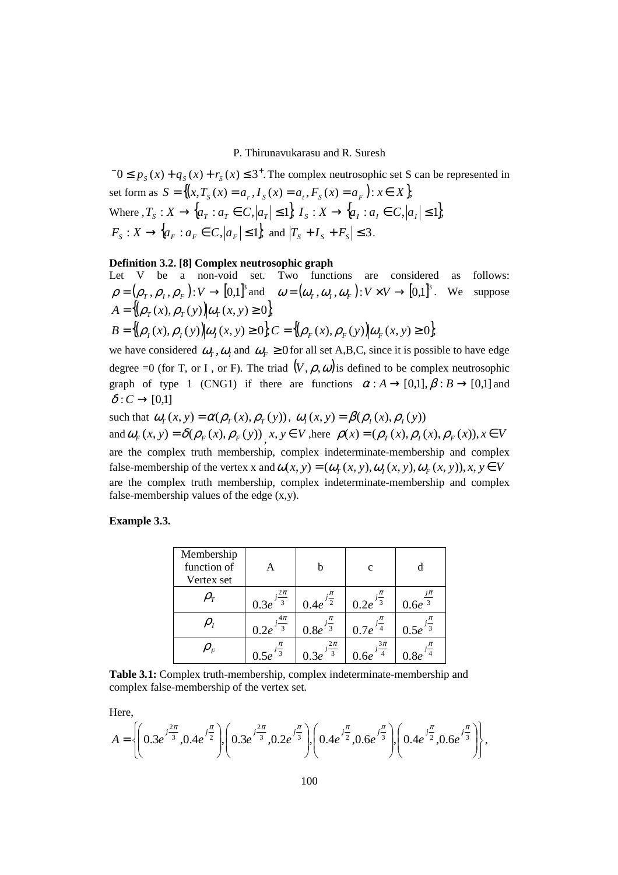$-0 \le p_s(x) + q_s(x) + r_s(x) \le 3^+$ . The complex neutrosophic set S can be represented in set form as  $S = \{(x, T_s(x)) = a_s, I_s(x) = a_t, F_s(x) = a_r\}$ :  $x \in X$ , Where  $, T_s: X \to \{a_T : a_T \in C, |a_T| \leq 1\}, T_s: X \to \{a_I : a_I \in C, |a_I| \leq 1\},$  $F_S: X \to \{a_F : a_F \in C, |a_F| \leq 1\}$ , and  $|T_S + I_S + F_S| \leq 3$ .

## **Definition 3.2. [8] Complex neutrosophic graph**

Let V be a non-void set. Two functions are considered as follows:  $\rho = (\rho_T, \rho_I, \rho_F): V \to [0, 1]^3$  and  $\omega = (\omega_T, \omega_I, \omega_F): V \times V \to [0, 1]^3$ . We suppose  $A = \{ (\rho_T(x), \rho_T(y)) | \omega_T(x, y) \ge 0 \}$  $B = \{ (\rho_{\mu}(x), \rho_{\mu}(y)) | \omega_{\mu}(x, y) \ge 0 \}, C = \{ (\rho_{\mu}(x), \rho_{\mu}(y)) | \omega_{\mu}(x, y) \ge 0 \}$ 

we have considered  $\omega_T$ ,  $\omega_I$  and  $\omega_F \ge 0$  for all set A,B,C, since it is possible to have edge degree =0 (for T, or I, or F). The triad  $(V, \rho, \omega)$  is defined to be complex neutrosophic graph of type 1 (CNG1) if there are functions  $\alpha : A \rightarrow [0,1], \beta : B \rightarrow [0,1]$  and  $\delta: C \rightarrow [0,1]$ 

such that  $\omega_T(x, y) = \alpha(\rho_T(x), \rho_T(y))$ ,  $\omega_T(x, y) = \beta(\rho_T(x), \rho_T(y))$ and  $\omega_F(x, y) = \delta(\rho_F(x), \rho_F(y))$ ,  $x, y \in V$ , here  $\rho(x) = (\rho_T(x), \rho_T(x), \rho_F(x))$ ,  $x \in V$ are the complex truth membership, complex indeterminate-membership and complex false-membership of the vertex x and  $\omega(x, y) = (\omega_T(x, y), \omega_T(x, y), \omega_F(x, y)), x, y \in V$ are the complex truth membership, complex indeterminate-membership and complex false-membership values of the edge (x,y).

**Example 3.3.** 

| Membership<br>function of | A                                | b                                 | $\mathbf c$              | d                        |
|---------------------------|----------------------------------|-----------------------------------|--------------------------|--------------------------|
| Vertex set                |                                  |                                   |                          |                          |
|                           | $\frac{2\pi}{3}$<br>0.3e         | $\mathcal{D}$<br>0.4e             | $i\frac{1}{3}$<br>0.2e   | $\frac{j\pi}{3}$<br>0.6e |
|                           | $4\pi$<br>$\overline{3}$<br>0.2e | $\overline{\overline{3}}$<br>0.8e | 0.7e                     | 0.5e                     |
| $\rho_{_F}$               | $\mathbf{R}$                     | $\frac{2\pi}{3}$                  | $3\pi$<br>$\overline{4}$ |                          |

**Table 3.1:** Complex truth-membership, complex indeterminate-membership and complex false-membership of the vertex set.

Here,

$$
A = \left\{ \left( 0.3e^{j\frac{2\pi}{3}}, 0.4e^{j\frac{\pi}{2}} \right), \left( 0.3e^{j\frac{2\pi}{3}}, 0.2e^{j\frac{\pi}{3}} \right), \left( 0.4e^{j\frac{\pi}{2}}, 0.6e^{j\frac{\pi}{3}} \right), \left( 0.4e^{j\frac{\pi}{2}}, 0.6e^{j\frac{\pi}{3}} \right) \right\},\
$$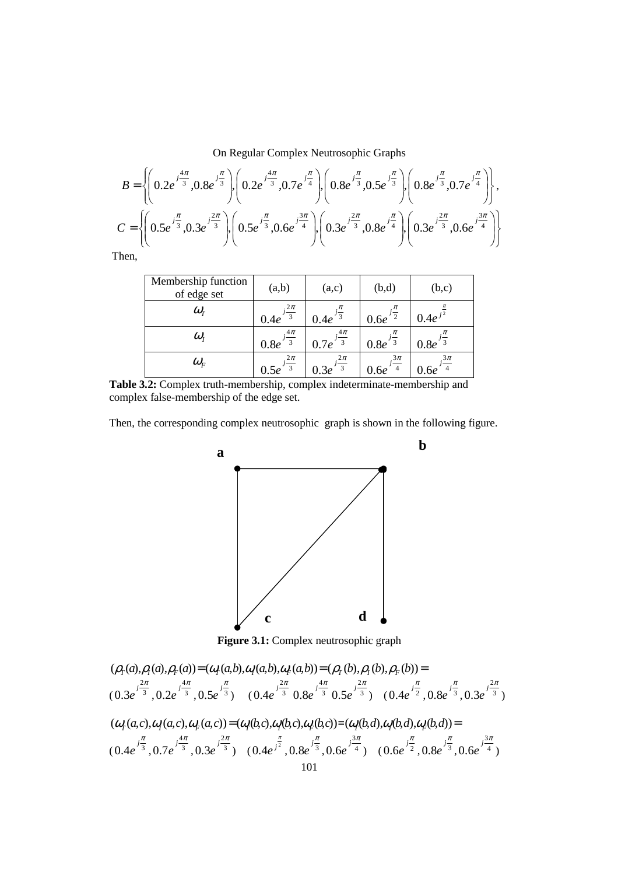On Regular Complex Neutrosophic Graphs

$$
B = \left\{ \left( 0.2e^{j\frac{4\pi}{3}}, 0.8e^{j\frac{\pi}{3}} \right) \left( 0.2e^{j\frac{4\pi}{3}}, 0.7e^{j\frac{\pi}{4}} \right) \left( 0.8e^{j\frac{\pi}{3}}, 0.5e^{j\frac{\pi}{3}} \right) \left( 0.8e^{j\frac{\pi}{3}}, 0.7e^{j\frac{\pi}{4}} \right) \right\},\newline C = \left\{ \left( 0.5e^{j\frac{\pi}{3}}, 0.3e^{j\frac{2\pi}{3}} \right) \left( 0.5e^{j\frac{\pi}{3}}, 0.6e^{j\frac{3\pi}{4}} \right) \left( 0.3e^{j\frac{2\pi}{3}}, 0.8e^{j\frac{\pi}{4}} \right) \left( 0.3e^{j\frac{2\pi}{3}}, 0.6e^{j\frac{3\pi}{4}} \right) \right\}
$$

Then,

| Membership function<br>of edge set | (a,b)                                    | (a,c)                                      | (b,d)  | (b,c)                |
|------------------------------------|------------------------------------------|--------------------------------------------|--------|----------------------|
| $\omega_{\scriptscriptstyle T}$    | $i\frac{2\pi}{2}$<br>-3                  | 0.4e                                       | 0.6e   | 0.4e <sup>3</sup>    |
| $\omega_{I}$                       | $\frac{4\pi}{ }$<br>$\mathbf{3}$<br>0.8e | $\frac{4\pi}{4}$<br>$\overline{3}$<br>0.7e | 0.8e   | $0.8e^{\frac{1}{2}}$ |
| $\omega_{\scriptscriptstyle F}$    | $2\pi$<br>-3                             | $2\pi$<br>$\overline{3}$                   | $3\pi$ | $3\pi$               |

**Table 3.2:** Complex truth-membership, complex indeterminate-membership and complex false-membership of the edge set.

Then, the corresponding complex neutrosophic graph is shown in the following figure.

**b**



Figure 3.1: Complex neutrosophic graph

$$
(\rho_{\rm r}(a), \rho_{\rm r}(a), \rho_{\rm r}(a)) = (\omega_{\rm r}(a,b), \omega_{\rm r}(a,b)) = (\rho_{\rm r}(b), \rho_{\rm r}(b), \rho_{\rm r}(b)) =
$$
  

$$
(0.3e^{\int_{-3}^{2\pi} 3} \cdot 0.2e^{\int_{-3}^{4\pi} 3} \cdot 0.5e^{\int_{-3}^{2\pi} 3} \cdot 0.6e^{\int_{-3}^{2\pi} 3} \cdot 0.8e^{\int_{-3}^{4\pi} 3} \cdot 0.5e^{\int_{-3}^{2\pi} 3} \cdot 0.8e^{\int_{-3}^{2\pi} 3} \cdot 0.8e^{\int_{-3}^{2\pi} 3} \cdot 0.8e^{\int_{-3}^{2\pi} 3} \cdot 0.3e^{\int_{-3}^{2\pi} 3} \cdot 0.3e^{\int_{-3}^{2\pi} 3} \cdot 0.3e^{\int_{-3}^{2\pi} 3} \cdot 0.3e^{\int_{-3}^{2\pi} 3} \cdot 0.3e^{\int_{-3}^{2\pi} 3} \cdot 0.3e^{\int_{-3}^{2\pi} 3} \cdot 0.3e^{\int_{-3}^{2\pi} 3} \cdot 0.3e^{\int_{-3}^{2\pi} 3} \cdot 0.3e^{\int_{-3}^{2\pi} 3} \cdot 0.3e^{\int_{-3}^{2\pi} 3} \cdot 0.3e^{\int_{-3}^{2\pi} 3} \cdot 0.3e^{\int_{-3}^{2\pi} 3} \cdot 0.3e^{\int_{-3}^{2\pi} 3} \cdot 0.6e^{\int_{-3}^{2\pi} 3} \cdot 0.6e^{\int_{-3}^{2\pi} 3} \cdot 0.6e^{\int_{-3}^{2\pi} 3} \cdot 0.6e^{\int_{-3}^{2\pi} 3} \cdot 0.6e^{\int_{-3}^{2\pi} 3} \cdot 0.6e^{\int_{-3}^{2\pi} 3} \cdot 0.6e^{\int_{-3}^{2\pi} 3} \cdot 0.6e^{\int_{-3}^{2\pi} 3} \cdot 0.3e^{\int_{-3}^{
$$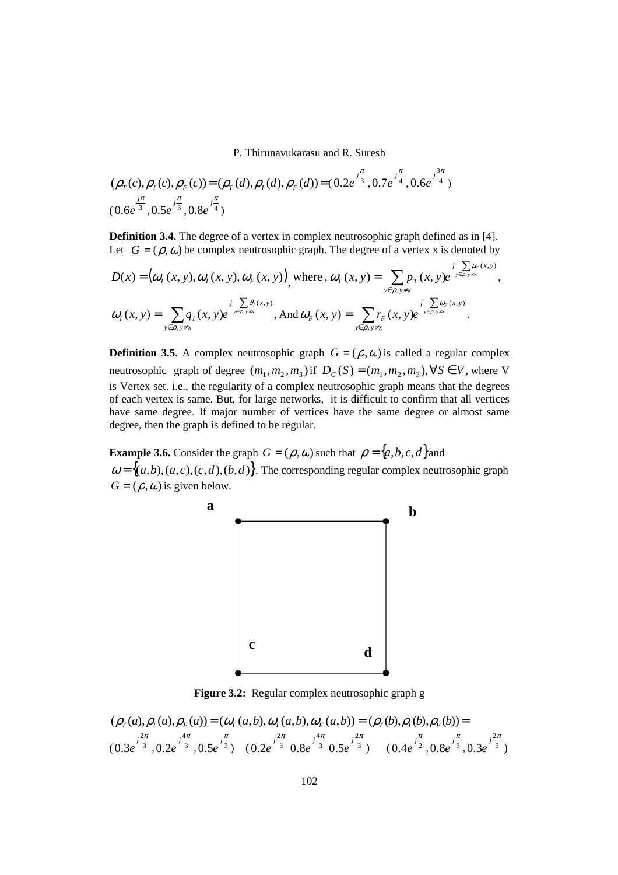$$
(\rho_T(c), \rho_I(c), \rho_F(c)) = (\rho_T(d), \rho_I(d), \rho_F(d)) = (0.2e^{\int_{\frac{\pi}{3}}^{\frac{\pi}{3}}}, 0.7e^{\int_{\frac{\pi}{4}}^{\frac{\pi}{4}}}, 0.6e^{\int_{\frac{3\pi}{4}}^{\frac{3\pi}{4}}})
$$
  
(0.6e <sup>$\frac{1}{3}$</sup> , 0.5e <sup>$\frac{1}{3}$</sup> , 0.8e <sup>$\frac{1}{4}$</sup> )

**Definition 3.4.** The degree of a vertex in complex neutrosophic graph defined as in [4]. Let  $G = (\rho, \omega)$  be complex neutrosophic graph. The degree of a vertex x is denoted by

$$
D(x) = (\omega_T(x, y), \omega_T(x, y), \omega_F(x, y))
$$
 where,  $\omega_T(x, y) = \sum_{y \in \rho, y \neq x} p_T(x, y) e^{\int \frac{y}{y \in \rho, y \neq x}} d\left(\frac{y}{y}\right)^2 dx$ ,  

$$
\omega_T(x, y) = \sum_{y \in \rho, y \neq x} q_T(x, y) e^{\int \frac{y}{y \in \rho, y \neq x}} d\left(\frac{y}{y}\right)^2 dx
$$
, and  $\omega_F(x, y) = \sum_{y \in \rho, y \neq x} r_F(x, y) e^{\int \frac{y}{y \in \rho, y \neq x}} d\left(\frac{y}{y}\right)^2 dx$ .

**Definition 3.5.** A complex neutrosophic graph  $G = (\rho, \omega)$  is called a regular complex neutrosophic graph of degree  $(m_1, m_2, m_3)$  if  $D_G(S) = (m_1, m_2, m_3)$ ,  $\forall S \in V$ , where V is Vertex set. i.e., the regularity of a complex neutrosophic graph means that the degrees of each vertex is same. But, for large networks, it is difficult to confirm that all vertices have same degree. If major number of vertices have the same degree or almost same degree, then the graph is defined to be regular.

**Example 3.6.** Consider the graph  $G = (\rho, \omega)$  such that  $\rho = \{a, b, c, d\}$  and  $\omega = \{(a,b), (a,c), (c,d), (b,d)\}$ . The corresponding regular complex neutrosophic graph  $G = (\rho, \omega)$  is given below.



**Figure 3.2:** Regular complex neutrosophic graph g

$$
(\rho_T(a), \rho_I(a), \rho_F(a)) = (\omega_T(a, b), \omega_I(a, b), \omega_F(a, b)) = (\rho_T(b), \rho_I(b), \rho_F(b)) =
$$
  

$$
(0.3e^{\int \frac{2\pi}{3}}, 0.2e^{\int \frac{4\pi}{3}}, 0.5e^{\int \frac{\pi}{3}})
$$
 
$$
(0.2e^{\int \frac{2\pi}{3}} 0.8e^{\int \frac{4\pi}{3}} 0.5e^{\int \frac{2\pi}{3}})
$$
 
$$
(0.4e^{\int \frac{\pi}{2}}, 0.8e^{\int \frac{\pi}{3}}, 0.3e^{\int \frac{2\pi}{3}})
$$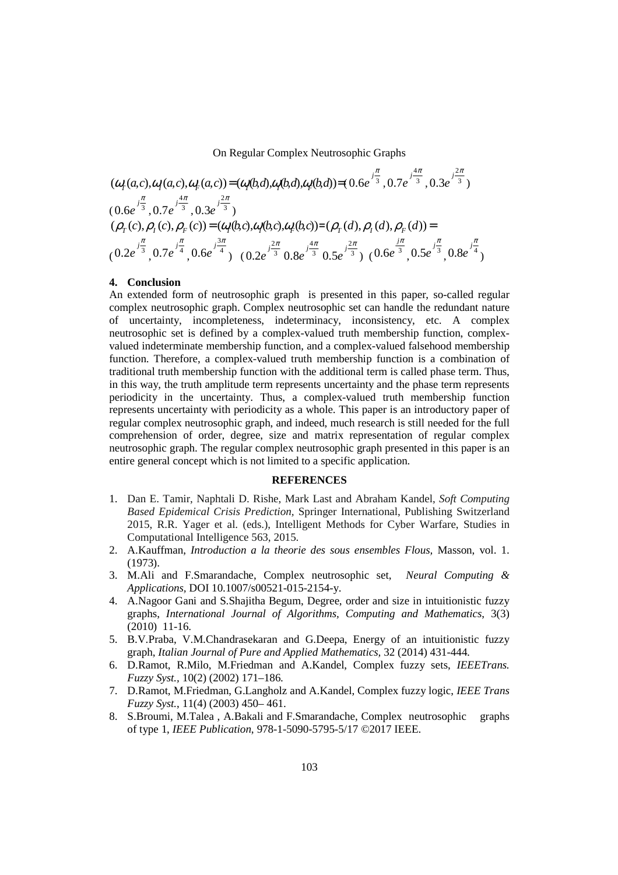On Regular Complex Neutrosophic Graphs

$$
(\omega_r(a,c),\omega_l(a,c),\omega_r(a,c)) = (\omega_l(b,d),\omega_l(b,d),\omega_r(b,d)) = (0.6e^{\int_{\frac{\pi}{3}}^{\frac{\pi}{3}}},0.7e^{\int_{\frac{4\pi}{3}}^{\frac{4\pi}{3}}},0.3e^{\int_{\frac{2\pi}{3}}^{\frac{4\pi}{3}}},0.3e^{\int_{\frac{2\pi}{3}}^{\frac{4\pi}{3}}},0.3e^{\int_{\frac{2\pi}{3}}^{\frac{4\pi}{3}}},0.3e^{\int_{\frac{2\pi}{3}}^{\frac{4\pi}{3}}},0.3e^{\int_{\frac{2\pi}{3}}^{\frac{2\pi}{3}}},0.3e^{\int_{\frac{2\pi}{3}}^{\frac{2\pi}{3}}},0.3e^{\int_{\frac{2\pi}{3}}^{\frac{2\pi}{3}}},0.3e^{\int_{\frac{2\pi}{3}}^{\frac{2\pi}{3}}},0.6e^{\int_{\frac{2\pi}{3}}^{\frac{2\pi}{3}}},0.6e^{\int_{\frac{2\pi}{3}}^{\frac{2\pi}{3}}},0.6e^{\int_{\frac{2\pi}{3}}^{\frac{2\pi}{3}}},0.8e^{\int_{\frac{2\pi}{3}}^{\frac{2\pi}{3}}},0.8e^{\int_{\frac{2\pi}{3}}^{\frac{2\pi}{3}}},0.8e^{\int_{\frac{2\pi}{3}}^{\frac{2\pi}{3}}},0.8e^{\int_{\frac{2\pi}{3}}^{\frac{2\pi}{3}}},0.8e^{\int_{\frac{2\pi}{3}}^{\frac{2\pi}{3}}}
$$

#### **4. Conclusion**

An extended form of neutrosophic graph is presented in this paper, so-called regular complex neutrosophic graph. Complex neutrosophic set can handle the redundant nature of uncertainty, incompleteness, indeterminacy, inconsistency, etc. A complex neutrosophic set is defined by a complex-valued truth membership function, complexvalued indeterminate membership function, and a complex-valued falsehood membership function. Therefore, a complex-valued truth membership function is a combination of traditional truth membership function with the additional term is called phase term. Thus, in this way, the truth amplitude term represents uncertainty and the phase term represents periodicity in the uncertainty. Thus, a complex-valued truth membership function represents uncertainty with periodicity as a whole. This paper is an introductory paper of regular complex neutrosophic graph, and indeed, much research is still needed for the full comprehension of order, degree, size and matrix representation of regular complex neutrosophic graph. The regular complex neutrosophic graph presented in this paper is an entire general concept which is not limited to a specific application.

#### **REFERENCES**

- 1. Dan E. Tamir, Naphtali D. Rishe, Mark Last and Abraham Kandel, *Soft Computing Based Epidemical Crisis Prediction,* Springer International, Publishing Switzerland 2015, R.R. Yager et al. (eds.), Intelligent Methods for Cyber Warfare, Studies in Computational Intelligence 563, 2015.
- 2. A.Kauffman, *Introduction a la theorie des sous ensembles Flous,* Masson, vol. 1. (1973).
- 3. M.Ali and F.Smarandache, Complex neutrosophic set, *Neural Computing & Applications,* DOI 10.1007/s00521-015-2154-y.
- 4. A.Nagoor Gani and S.Shajitha Begum, Degree, order and size in intuitionistic fuzzy graphs, *International Journal of Algorithms, Computing and Mathematics*, 3(3) (2010) 11-16.
- 5. B.V.Praba, V.M.Chandrasekaran and G.Deepa, Energy of an intuitionistic fuzzy graph, *Italian Journal of Pure and Applied Mathematics,* 32 (2014) 431-444.
- 6. D.Ramot, R.Milo, M.Friedman and A.Kandel, Complex fuzzy sets, *IEEETrans. Fuzzy Syst.,* 10(2) (2002) 171–186.
- 7. D.Ramot, M.Friedman, G.Langholz and A.Kandel, Complex fuzzy logic, *IEEE Trans Fuzzy Syst.*, 11(4) (2003) 450– 461.
- 8. S.Broumi, M.Talea , A.Bakali and F.Smarandache, Complex neutrosophic graphs of type 1, *IEEE Publication*, 978-1-5090-5795-5/17 ©2017 IEEE.